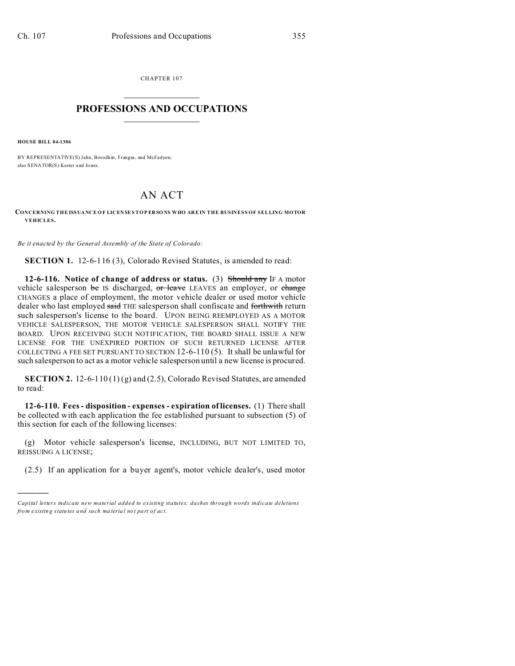CHAPTER 107  $\overline{\phantom{a}}$  , where  $\overline{\phantom{a}}$ 

## **PROFESSIONS AND OCCUPATIONS**  $\frac{1}{2}$  ,  $\frac{1}{2}$  ,  $\frac{1}{2}$  ,  $\frac{1}{2}$  ,  $\frac{1}{2}$  ,  $\frac{1}{2}$  ,  $\frac{1}{2}$

**HOUSE BILL 04-1306**

)))))

BY REPRESENTATIVE(S) Jahn, Borodkin, Frangas, and McFadyen; also SENATOR(S) Kester and Jo nes.

## AN ACT

## **CONCERNING THE ISSUANCE O F LICEN SES TO P ER SO NS WHO ARE IN THE BUSINESS OF SELLING MOTOR VEHICLES.**

*Be it enacted by the General Assembly of the State of Colorado:*

**SECTION 1.** 12-6-116 (3), Colorado Revised Statutes, is amended to read:

**12-6-116. Notice of change of address or status.** (3) Should any IF A motor vehicle salesperson be IS discharged, or leave LEAVES an employer, or change CHANGES a place of employment, the motor vehicle dealer or used motor vehicle dealer who last employed said THE salesperson shall confiscate and forthwith return such salesperson's license to the board. UPON BEING REEMPLOYED AS A MOTOR VEHICLE SALESPERSON, THE MOTOR VEHICLE SALESPERSON SHALL NOTIFY THE BOARD. UPON RECEIVING SUCH NOTIFICATION, THE BOARD SHALL ISSUE A NEW LICENSE FOR THE UNEXPIRED PORTION OF SUCH RETURNED LICENSE AFTER COLLECTING A FEE SET PURSUANT TO SECTION 12-6-110 (5). It shall be unlawful for such salesperson to act as a motor vehicle salesperson until a new license is procured.

**SECTION 2.** 12-6-110(1)(g) and (2.5), Colorado Revised Statutes, are amended to read:

**12-6-110. Fees - disposition - expenses - expiration of licenses.** (1) There shall be collected with each application the fee established pursuant to subsection (5) of this section for each of the following licenses:

(g) Motor vehicle salesperson's license, INCLUDING, BUT NOT LIMITED TO, REISSUING A LICENSE;

(2.5) If an application for a buyer agent's, motor vehicle dealer's, used motor

*Capital letters indicate new material added to existing statutes; dashes through words indicate deletions from e xistin g statu tes a nd such ma teria l no t pa rt of ac t.*